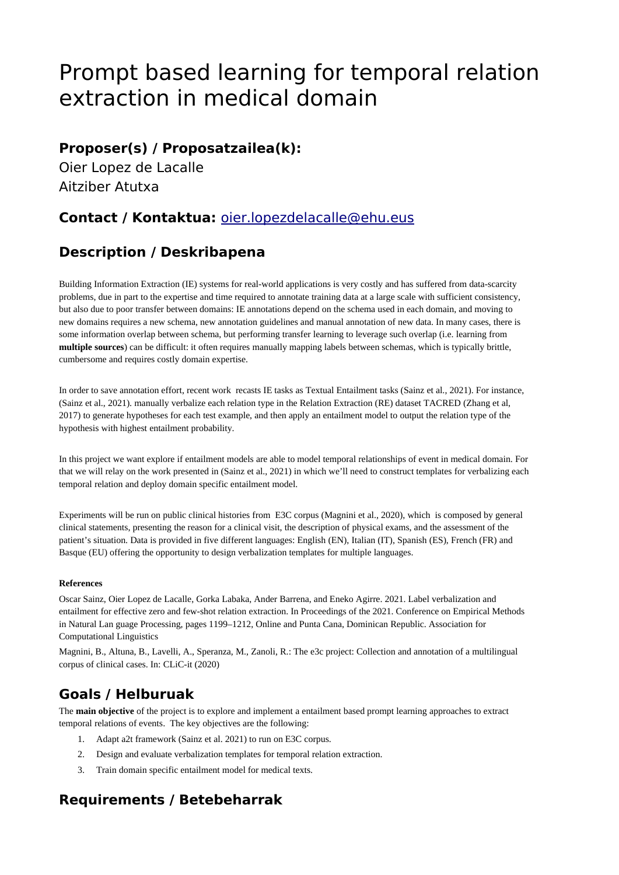# Prompt based learning for temporal relation extraction in medical domain

### **Proposer(s) / Proposatzailea(k):**

Oier Lopez de Lacalle Aitziber Atutxa

### **Contact / Kontaktua:** [oier.lopezdelacalle@ehu.eus](mailto:oier.lopezdelacalle@ehu.eus)

# **Description / Deskribapena**

Building Information Extraction (IE) systems for real-world applications is very costly and has suffered from data-scarcity problems, due in part to the expertise and time required to annotate training data at a large scale with sufficient consistency, but also due to poor transfer between domains: IE annotations depend on the schema used in each domain, and moving to new domains requires a new schema, new annotation guidelines and manual annotation of new data. In many cases, there is some information overlap between schema, but performing transfer learning to leverage such overlap (i.e. learning from **multiple sources**) can be difficult: it often requires manually mapping labels between schemas, which is typically brittle, cumbersome and requires costly domain expertise.

In order to save annotation effort, recent work recasts IE tasks as Textual Entailment tasks (Sainz et al., 2021). For instance, (Sainz et al., 2021). manually verbalize each relation type in the Relation Extraction (RE) dataset TACRED (Zhang et al, 2017) to generate hypotheses for each test example, and then apply an entailment model to output the relation type of the hypothesis with highest entailment probability.

In this project we want explore if entailment models are able to model temporal relationships of event in medical domain. For that we will relay on the work presented in (Sainz et al., 2021) in which we'll need to construct templates for verbalizing each temporal relation and deploy domain specific entailment model.

Experiments will be run on public clinical histories from E3C corpus (Magnini et al., 2020), which is composed by general clinical statements, presenting the reason for a clinical visit, the description of physical exams, and the assessment of the patient's situation. Data is provided in five different languages: English (EN), Italian (IT), Spanish (ES), French (FR) and Basque (EU) offering the opportunity to design verbalization templates for multiple languages.

#### **References**

Oscar Sainz, Oier Lopez de Lacalle, Gorka Labaka, Ander Barrena, and Eneko Agirre. 2021. Label verbalization and entailment for effective zero and few-shot relation extraction. In Proceedings of the 2021. Conference on Empirical Methods in Natural Lan guage Processing, pages 1199–1212, Online and Punta Cana, Dominican Republic. Association for Computational Linguistics

Magnini, B., Altuna, B., Lavelli, A., Speranza, M., Zanoli, R.: The e3c project: Collection and annotation of a multilingual corpus of clinical cases. In: CLiC-it (2020)

### **Goals / Helburuak**

The **main objective** of the project is to explore and implement a entailment based prompt learning approaches to extract temporal relations of events. The key objectives are the following:

- 1. Adapt a2t framework (Sainz et al. 2021) to run on E3C corpus.
- 2. Design and evaluate verbalization templates for temporal relation extraction.
- 3. Train domain specific entailment model for medical texts.

# **Requirements / Betebeharrak**